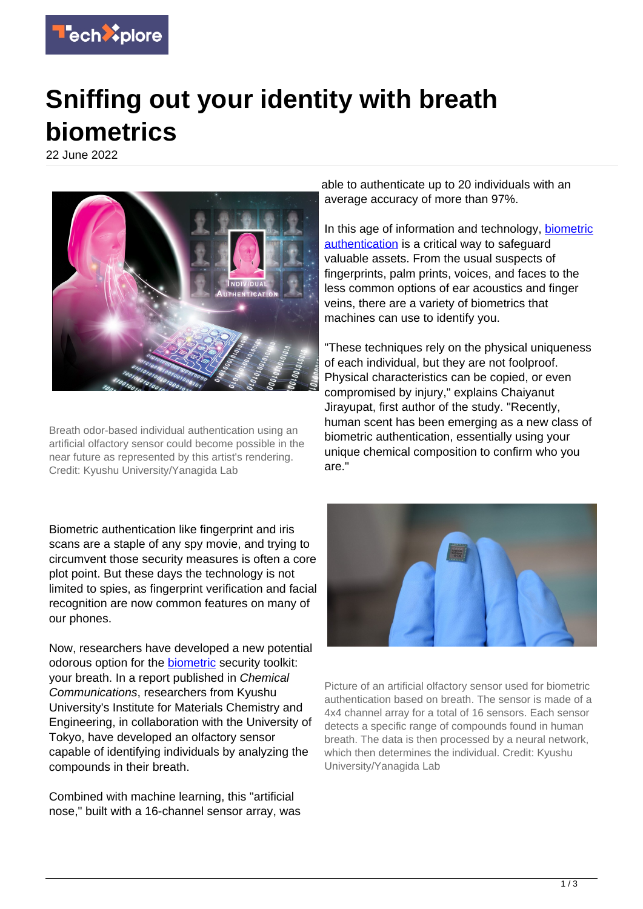

## **Sniffing out your identity with breath biometrics**

22 June 2022



Breath odor-based individual authentication using an artificial olfactory sensor could become possible in the near future as represented by this artist's rendering. Credit: Kyushu University/Yanagida Lab

Biometric authentication like fingerprint and iris scans are a staple of any spy movie, and trying to circumvent those security measures is often a core plot point. But these days the technology is not limited to spies, as fingerprint verification and facial recognition are now common features on many of our phones.

Now, researchers have developed a new potential odorous option for the [biometric](https://techxplore.com/tags/biometric/) security toolkit: your breath. In a report published in Chemical Communications, researchers from Kyushu University's Institute for Materials Chemistry and Engineering, in collaboration with the University of Tokyo, have developed an olfactory sensor capable of identifying individuals by analyzing the compounds in their breath.

Combined with machine learning, this "artificial nose," built with a 16-channel sensor array, was able to authenticate up to 20 individuals with an average accuracy of more than 97%.

In this age of information and technology, [biometric](https://techxplore.com/tags/biometric+authentication/) [authentication](https://techxplore.com/tags/biometric+authentication/) is a critical way to safeguard valuable assets. From the usual suspects of fingerprints, palm prints, voices, and faces to the less common options of ear acoustics and finger veins, there are a variety of biometrics that machines can use to identify you.

"These techniques rely on the physical uniqueness of each individual, but they are not foolproof. Physical characteristics can be copied, or even compromised by injury," explains Chaiyanut Jirayupat, first author of the study. "Recently, human scent has been emerging as a new class of biometric authentication, essentially using your unique chemical composition to confirm who you are."



Picture of an artificial olfactory sensor used for biometric authentication based on breath. The sensor is made of a 4x4 channel array for a total of 16 sensors. Each sensor detects a specific range of compounds found in human breath. The data is then processed by a neural network, which then determines the individual. Credit: Kyushu University/Yanagida Lab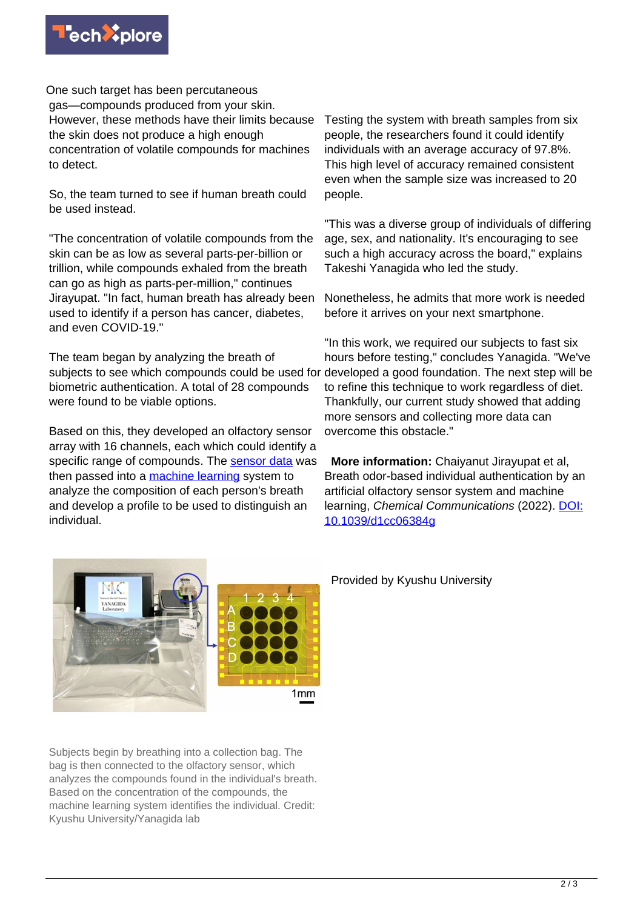

One such target has been percutaneous gas—compounds produced from your skin. However, these methods have their limits because the skin does not produce a high enough concentration of volatile compounds for machines to detect.

So, the team turned to see if human breath could be used instead.

"The concentration of volatile compounds from the skin can be as low as several parts-per-billion or trillion, while compounds exhaled from the breath can go as high as parts-per-million," continues Jirayupat. "In fact, human breath has already been used to identify if a person has cancer, diabetes, and even COVID-19."

The team began by analyzing the breath of subjects to see which compounds could be used for developed a good foundation. The next step will be biometric authentication. A total of 28 compounds were found to be viable options.

Based on this, they developed an olfactory sensor array with 16 channels, each which could identify a specific range of compounds. The [sensor data](https://techxplore.com/tags/sensor+data/) was then passed into a [machine learning](https://techxplore.com/tags/machine+learning/) system to analyze the composition of each person's breath and develop a profile to be used to distinguish an individual.

Testing the system with breath samples from six people, the researchers found it could identify individuals with an average accuracy of 97.8%. This high level of accuracy remained consistent even when the sample size was increased to 20 people.

"This was a diverse group of individuals of differing age, sex, and nationality. It's encouraging to see such a high accuracy across the board," explains Takeshi Yanagida who led the study.

Nonetheless, he admits that more work is needed before it arrives on your next smartphone.

"In this work, we required our subjects to fast six hours before testing," concludes Yanagida. "We've to refine this technique to work regardless of diet. Thankfully, our current study showed that adding more sensors and collecting more data can overcome this obstacle."

 **More information:** Chaiyanut Jirayupat et al, Breath odor-based individual authentication by an artificial olfactory sensor system and machine learning, Chemical Communications (2022). [DOI:](https://dx.doi.org/10.1039/d1cc06384g) [10.1039/d1cc06384g](https://dx.doi.org/10.1039/d1cc06384g)



Subjects begin by breathing into a collection bag. The bag is then connected to the olfactory sensor, which analyzes the compounds found in the individual's breath. Based on the concentration of the compounds, the machine learning system identifies the individual. Credit: Kyushu University/Yanagida lab

Provided by Kyushu University